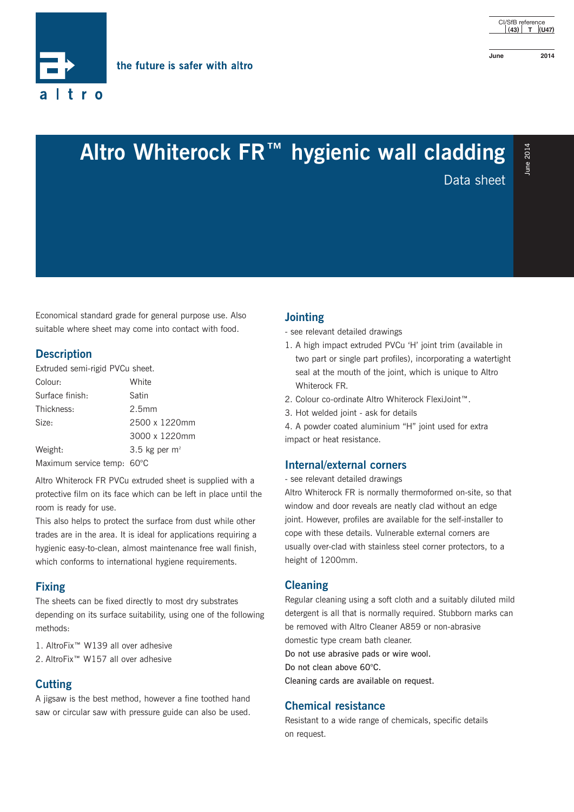

# **Altro Whiterock FR™ hygienic wall cladding a Altro Whiterock FR™ hygienic wall cladding**

Economical standard grade for general purpose use. Also suitable where sheet may come into contact with food.

#### **Description**

Extruded semi-rigid PVCu sheet.

| Colour:                    | White             |  |
|----------------------------|-------------------|--|
| Surface finish:            | Satin             |  |
| Thickness:                 | 2.5 <sub>mm</sub> |  |
| Size:                      | 2500 x 1220mm     |  |
|                            | 3000 x 1220mm     |  |
| Weight:                    | 3.5 kg per $m2$   |  |
| Maximum service temp: 60°C |                   |  |

Altro Whiterock FR PVCu extruded sheet is supplied with a protective film on its face which can be left in place until the room is ready for use.

This also helps to protect the surface from dust while other trades are in the area. It is ideal for applications requiring a hygienic easy-to-clean, almost maintenance free wall finish, which conforms to international hygiene requirements.

#### **Fixing**

The sheets can be fixed directly to most dry substrates depending on its surface suitability, using one of the following methods:

1. AltroFix™ W139 all over adhesive

2. AltroFix<sup>™</sup> W157 all over adhesive

### **Cutting**

A jigsaw is the best method, however a fine toothed hand saw or circular saw with pressure guide can also be used.

#### **Jointing**

- see relevant detailed drawings
- 1. A high impact extruded PVCu 'H' joint trim (available in two part or single part profiles), incorporating a watertight seal at the mouth of the joint, which is unique to Altro Whiterock FR.
- 2. Colour co-ordinate Altro Whiterock FlexiJoint™.
- 3. Hot welded joint ask for details

4. A powder coated aluminium "H" joint used for extra impact or heat resistance.

#### **Internal/external corners**

- see relevant detailed drawings

Altro Whiterock FR is normally thermoformed on-site, so that window and door reveals are neatly clad without an edge joint. However, profiles are available for the self-installer to cope with these details. Vulnerable external corners are usually over-clad with stainless steel corner protectors, to a height of 1200mm.

#### **Cleaning**

Regular cleaning using a soft cloth and a suitably diluted mild detergent is all that is normally required. Stubborn marks can be removed with Altro Cleaner A859 or non-abrasive domestic type cream bath cleaner.

Do not use abrasive pads or wire wool.

Do not clean above 60°C.

Cleaning cards are available on request.

#### **Chemical resistance**

Resistant to a wide range of chemicals, specific details on request.